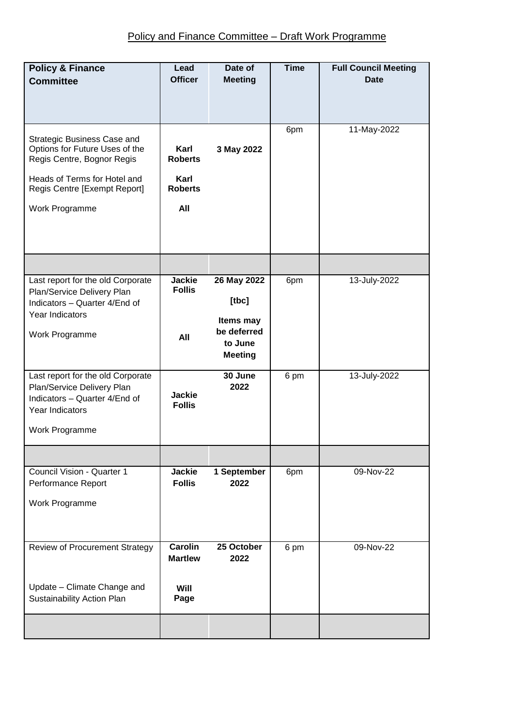| <b>Policy &amp; Finance</b><br><b>Committee</b>                                                                                                                               | Lead<br><b>Officer</b>                                  | Date of<br><b>Meeting</b>                                                     | <b>Time</b> | <b>Full Council Meeting</b><br><b>Date</b> |
|-------------------------------------------------------------------------------------------------------------------------------------------------------------------------------|---------------------------------------------------------|-------------------------------------------------------------------------------|-------------|--------------------------------------------|
| Strategic Business Case and<br>Options for Future Uses of the<br>Regis Centre, Bognor Regis<br>Heads of Terms for Hotel and<br>Regis Centre [Exempt Report]<br>Work Programme | Karl<br><b>Roberts</b><br>Karl<br><b>Roberts</b><br>All | 3 May 2022                                                                    | 6pm         | 11-May-2022                                |
|                                                                                                                                                                               |                                                         |                                                                               |             |                                            |
| Last report for the old Corporate<br>Plan/Service Delivery Plan<br>Indicators - Quarter 4/End of<br>Year Indicators<br>Work Programme                                         | <b>Jackie</b><br><b>Follis</b><br>All                   | 26 May 2022<br>[tbc]<br>Items may<br>be deferred<br>to June<br><b>Meeting</b> | 6pm         | 13-July-2022                               |
| Last report for the old Corporate<br>Plan/Service Delivery Plan<br>Indicators - Quarter 4/End of<br>Year Indicators<br>Work Programme                                         | <b>Jackie</b><br><b>Follis</b>                          | 30 June<br>2022                                                               | 6 pm        | 13-July-2022                               |
|                                                                                                                                                                               |                                                         |                                                                               |             |                                            |
| Council Vision - Quarter 1<br>Performance Report<br>Work Programme                                                                                                            | <b>Jackie</b><br><b>Follis</b>                          | 1 September<br>2022                                                           | 6pm         | 09-Nov-22                                  |
| <b>Review of Procurement Strategy</b><br>Update - Climate Change and<br>Sustainability Action Plan                                                                            | <b>Carolin</b><br><b>Martlew</b><br>Will<br>Page        | 25 October<br>2022                                                            | 6 pm        | $09-Nov-22$                                |
|                                                                                                                                                                               |                                                         |                                                                               |             |                                            |